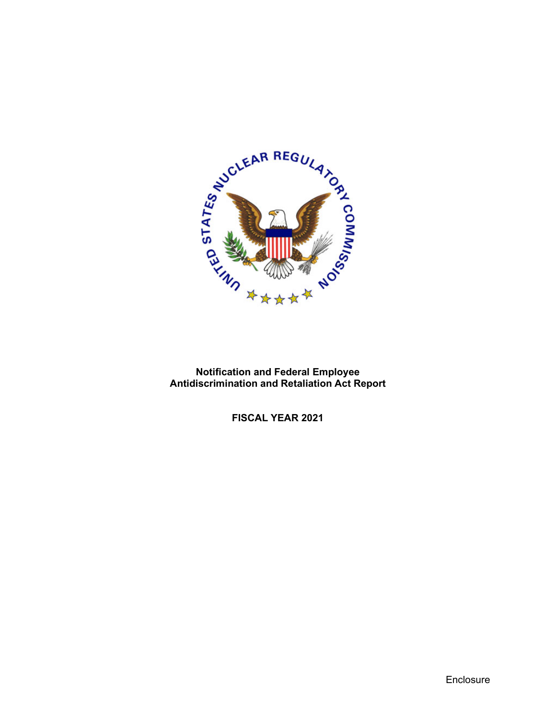

**Notification and Federal Employee Antidiscrimination and Retaliation Act Report**

**FISCAL YEAR 2021**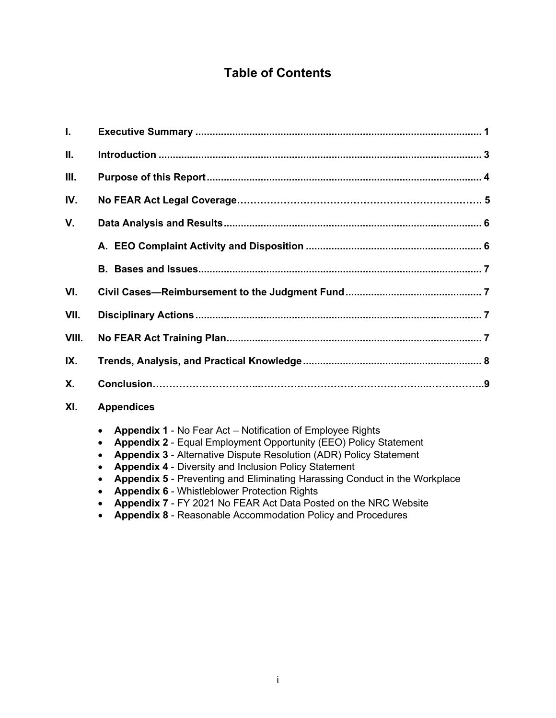# **Table of Contents**

| $\mathbf{L}$ |                   |  |
|--------------|-------------------|--|
| П.           |                   |  |
| Ш.           |                   |  |
| IV.          |                   |  |
| V.           |                   |  |
|              |                   |  |
|              |                   |  |
| VI.          |                   |  |
| VII.         |                   |  |
| VIII.        |                   |  |
| IX.          |                   |  |
| <b>X.</b>    |                   |  |
| XI.          | <b>Appendices</b> |  |

- **Appendix 1** No Fear Act Notification of Employee Rights
- **Appendix 2** Equal Employment Opportunity (EEO) Policy Statement
- **Appendix 3** Alternative Dispute Resolution (ADR) Policy Statement
- **Appendix 4** Diversity and Inclusion Policy Statement
- **Appendix 5** Preventing and Eliminating Harassing Conduct in the Workplace
- **Appendix 6** Whistleblower Protection Rights
- **Appendix 7** FY 2021 No FEAR Act Data Posted on the NRC Website
- **Appendix 8**  Reasonable Accommodation Policy and Procedures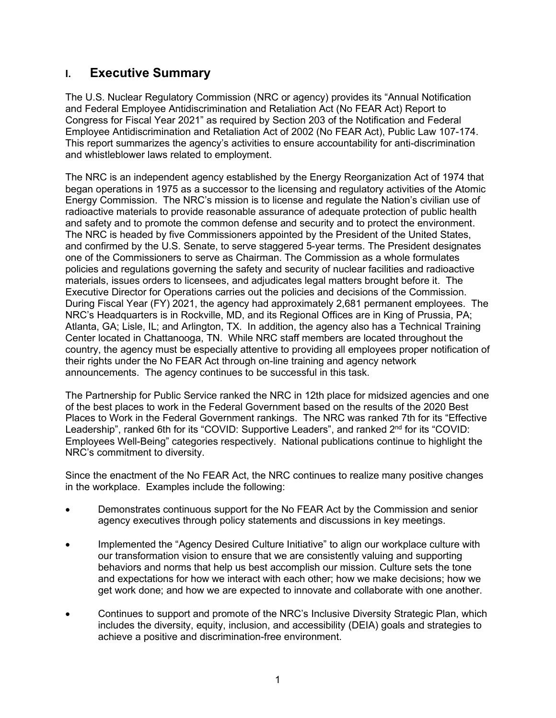## **I. Executive Summary**

The U.S. Nuclear Regulatory Commission (NRC or agency) provides its "Annual Notification and Federal Employee Antidiscrimination and Retaliation Act (No FEAR Act) Report to Congress for Fiscal Year 2021" as required by Section 203 of the Notification and Federal Employee Antidiscrimination and Retaliation Act of 2002 (No FEAR Act), Public Law 107-174. This report summarizes the agency's activities to ensure accountability for anti-discrimination and whistleblower laws related to employment.

The NRC is an independent agency established by the Energy Reorganization Act of 1974 that began operations in 1975 as a successor to the licensing and regulatory activities of the Atomic Energy Commission. The NRC's mission is to license and regulate the Nation's civilian use of radioactive materials to provide reasonable assurance of adequate protection of public health and safety and to promote the common defense and security and to protect the environment. The NRC is headed by five Commissioners appointed by the President of the United States, and confirmed by the U.S. Senate, to serve staggered 5-year terms. The President designates one of the Commissioners to serve as Chairman. The Commission as a whole formulates policies and regulations governing the safety and security of nuclear facilities and radioactive materials, issues orders to licensees, and adjudicates legal matters brought before it. The Executive Director for Operations carries out the policies and decisions of the Commission. During Fiscal Year (FY) 2021, the agency had approximately 2,681 permanent employees. The NRC's Headquarters is in Rockville, MD, and its Regional Offices are in King of Prussia, PA; Atlanta, GA; Lisle, IL; and Arlington, TX. In addition, the agency also has a Technical Training Center located in Chattanooga, TN. While NRC staff members are located throughout the country, the agency must be especially attentive to providing all employees proper notification of their rights under the No FEAR Act through on-line training and agency network announcements. The agency continues to be successful in this task.

The Partnership for Public Service ranked the NRC in 12th place for midsized agencies and one of the best places to work in the Federal Government based on the results of the 2020 Best Places to Work in the Federal Government rankings. The NRC was ranked 7th for its "Effective Leadership", ranked 6th for its "COVID: Supportive Leaders", and ranked 2<sup>nd</sup> for its "COVID: Employees Well-Being" categories respectively. National publications continue to highlight the NRC's commitment to diversity.

Since the enactment of the No FEAR Act, the NRC continues to realize many positive changes in the workplace. Examples include the following:

- Demonstrates continuous support for the No FEAR Act by the Commission and senior agency executives through policy statements and discussions in key meetings.
- Implemented the "Agency Desired Culture Initiative" to align our workplace culture with our transformation vision to ensure that we are consistently valuing and supporting behaviors and norms that help us best accomplish our mission. Culture sets the tone and expectations for how we interact with each other; how we make decisions; how we get work done; and how we are expected to innovate and collaborate with one another.
- Continues to support and promote of the NRC's Inclusive Diversity Strategic Plan, which includes the diversity, equity, inclusion, and accessibility (DEIA) goals and strategies to achieve a positive and discrimination-free environment.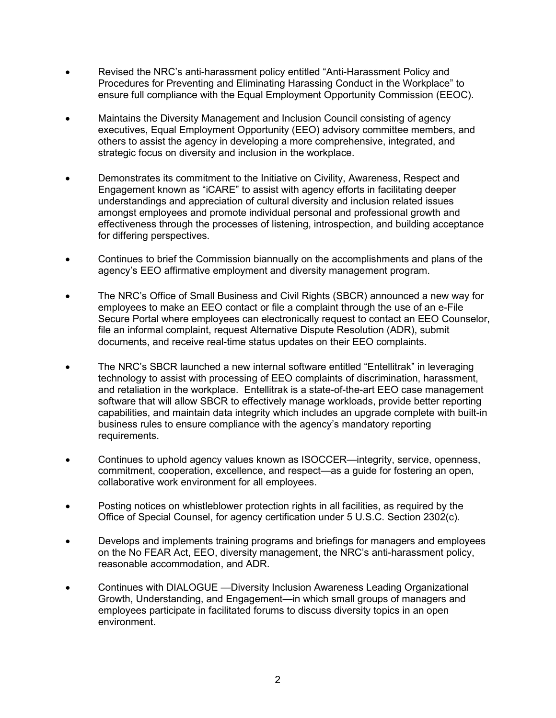- Revised the NRC's anti-harassment policy entitled "Anti-Harassment Policy and Procedures for Preventing and Eliminating Harassing Conduct in the Workplace" to ensure full compliance with the Equal Employment Opportunity Commission (EEOC).
- Maintains the Diversity Management and Inclusion Council consisting of agency executives, Equal Employment Opportunity (EEO) advisory committee members, and others to assist the agency in developing a more comprehensive, integrated, and strategic focus on diversity and inclusion in the workplace.
- Demonstrates its commitment to the Initiative on Civility, Awareness, Respect and Engagement known as "iCARE" to assist with agency efforts in facilitating deeper understandings and appreciation of cultural diversity and inclusion related issues amongst employees and promote individual personal and professional growth and effectiveness through the processes of listening, introspection, and building acceptance for differing perspectives.
- Continues to brief the Commission biannually on the accomplishments and plans of the agency's EEO affirmative employment and diversity management program.
- The NRC's Office of Small Business and Civil Rights (SBCR) announced a new way for employees to make an EEO contact or file a complaint through the use of an e-File Secure Portal where employees can electronically request to contact an EEO Counselor, file an informal complaint, request Alternative Dispute Resolution (ADR), submit documents, and receive real-time status updates on their EEO complaints.
- The NRC's SBCR launched a new internal software entitled "Entellitrak" in leveraging technology to assist with processing of EEO complaints of discrimination, harassment, and retaliation in the workplace. Entellitrak is a state-of-the-art EEO case management software that will allow SBCR to effectively manage workloads, provide better reporting capabilities, and maintain data integrity which includes an upgrade complete with built-in business rules to ensure compliance with the agency's mandatory reporting requirements.
- Continues to uphold agency values known as ISOCCER—integrity, service, openness, commitment, cooperation, excellence, and respect—as a guide for fostering an open, collaborative work environment for all employees.
- Posting notices on whistleblower protection rights in all facilities, as required by the Office of Special Counsel, for agency certification under 5 U.S.C. Section 2302(c).
- Develops and implements training programs and briefings for managers and employees on the No FEAR Act, EEO, diversity management, the NRC's anti-harassment policy, reasonable accommodation, and ADR.
- Continues with DIALOGUE —Diversity Inclusion Awareness Leading Organizational Growth, Understanding, and Engagement—in which small groups of managers and employees participate in facilitated forums to discuss diversity topics in an open environment.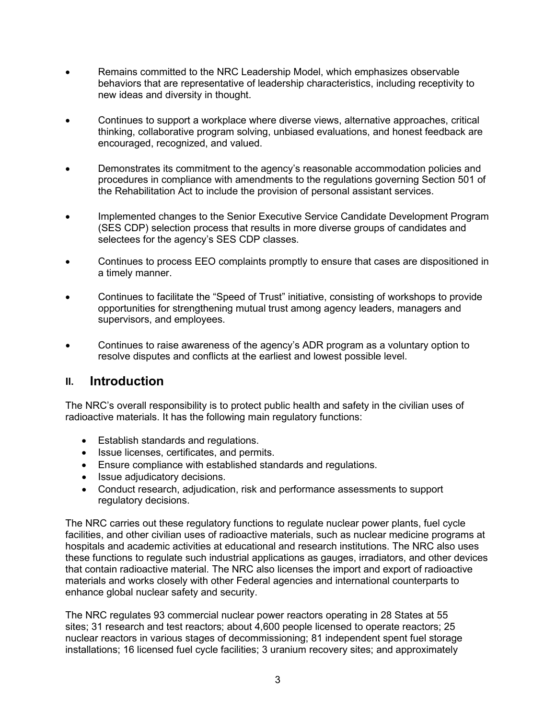- Remains committed to the NRC Leadership Model, which emphasizes observable behaviors that are representative of leadership characteristics, including receptivity to new ideas and diversity in thought.
- Continues to support a workplace where diverse views, alternative approaches, critical thinking, collaborative program solving, unbiased evaluations, and honest feedback are encouraged, recognized, and valued.
- Demonstrates its commitment to the agency's reasonable accommodation policies and procedures in compliance with amendments to the regulations governing Section 501 of the Rehabilitation Act to include the provision of personal assistant services.
- Implemented changes to the Senior Executive Service Candidate Development Program (SES CDP) selection process that results in more diverse groups of candidates and selectees for the agency's SES CDP classes.
- Continues to process EEO complaints promptly to ensure that cases are dispositioned in a timely manner.
- Continues to facilitate the "Speed of Trust" initiative, consisting of workshops to provide opportunities for strengthening mutual trust among agency leaders, managers and supervisors, and employees.
- Continues to raise awareness of the agency's ADR program as a voluntary option to resolve disputes and conflicts at the earliest and lowest possible level.

### **II. Introduction**

The NRC's overall responsibility is to protect public health and safety in the civilian uses of radioactive materials. It has the following main regulatory functions:

- Establish standards and regulations.
- Issue licenses, certificates, and permits.
- Ensure compliance with established standards and regulations.
- Issue adjudicatory decisions.
- Conduct research, adjudication, risk and performance assessments to support regulatory decisions.

The NRC carries out these regulatory functions to regulate nuclear power plants, fuel cycle facilities, and other civilian uses of radioactive materials, such as nuclear medicine programs at hospitals and academic activities at educational and research institutions. The NRC also uses these functions to regulate such industrial applications as gauges, irradiators, and other devices that contain radioactive material. The NRC also licenses the import and export of radioactive materials and works closely with other Federal agencies and international counterparts to enhance global nuclear safety and security.

The NRC regulates 93 commercial nuclear power reactors operating in 28 States at 55 sites; 31 research and test reactors; about 4,600 people licensed to operate reactors; 25 nuclear reactors in various stages of decommissioning; 81 independent spent fuel storage installations; 16 licensed fuel cycle facilities; 3 uranium recovery sites; and approximately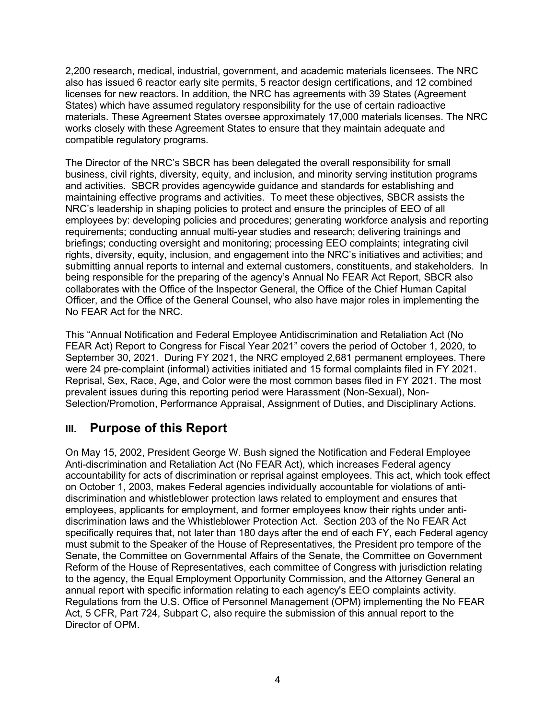2,200 research, medical, industrial, government, and academic materials licensees. The NRC also has issued 6 reactor early site permits, 5 reactor design certifications, and 12 combined licenses for new reactors. In addition, the NRC has agreements with 39 States (Agreement States) which have assumed regulatory responsibility for the use of certain radioactive materials. These Agreement States oversee approximately 17,000 materials licenses. The NRC works closely with these Agreement States to ensure that they maintain adequate and compatible regulatory programs.

The Director of the NRC's SBCR has been delegated the overall responsibility for small business, civil rights, diversity, equity, and inclusion, and minority serving institution programs and activities. SBCR provides agencywide guidance and standards for establishing and maintaining effective programs and activities. To meet these objectives, SBCR assists the NRC's leadership in shaping policies to protect and ensure the principles of EEO of all employees by: developing policies and procedures; generating workforce analysis and reporting requirements; conducting annual multi-year studies and research; delivering trainings and briefings; conducting oversight and monitoring; processing EEO complaints; integrating civil rights, diversity, equity, inclusion, and engagement into the NRC's initiatives and activities; and submitting annual reports to internal and external customers, constituents, and stakeholders. In being responsible for the preparing of the agency's Annual No FEAR Act Report, SBCR also collaborates with the Office of the Inspector General, the Office of the Chief Human Capital Officer, and the Office of the General Counsel, who also have major roles in implementing the No FEAR Act for the NRC.

This "Annual Notification and Federal Employee Antidiscrimination and Retaliation Act (No FEAR Act) Report to Congress for Fiscal Year 2021" covers the period of October 1, 2020, to September 30, 2021. During FY 2021, the NRC employed 2,681 permanent employees. There were 24 pre-complaint (informal) activities initiated and 15 formal complaints filed in FY 2021. Reprisal, Sex, Race, Age, and Color were the most common bases filed in FY 2021. The most prevalent issues during this reporting period were Harassment (Non-Sexual), Non-Selection/Promotion, Performance Appraisal, Assignment of Duties, and Disciplinary Actions.

## **III. Purpose of this Report**

On May 15, 2002, President George W. Bush signed the Notification and Federal Employee Anti-discrimination and Retaliation Act (No FEAR Act), which increases Federal agency accountability for acts of discrimination or reprisal against employees. This act, which took effect on October 1, 2003, makes Federal agencies individually accountable for violations of antidiscrimination and whistleblower protection laws related to employment and ensures that employees, applicants for employment, and former employees know their rights under antidiscrimination laws and the Whistleblower Protection Act. Section 203 of the No FEAR Act specifically requires that, not later than 180 days after the end of each FY, each Federal agency must submit to the Speaker of the House of Representatives, the President pro tempore of the Senate, the Committee on Governmental Affairs of the Senate, the Committee on Government Reform of the House of Representatives, each committee of Congress with jurisdiction relating to the agency, the Equal Employment Opportunity Commission, and the Attorney General an annual report with specific information relating to each agency's EEO complaints activity. Regulations from the U.S. Office of Personnel Management (OPM) implementing the No FEAR Act, 5 CFR, Part 724, Subpart C, also require the submission of this annual report to the Director of OPM.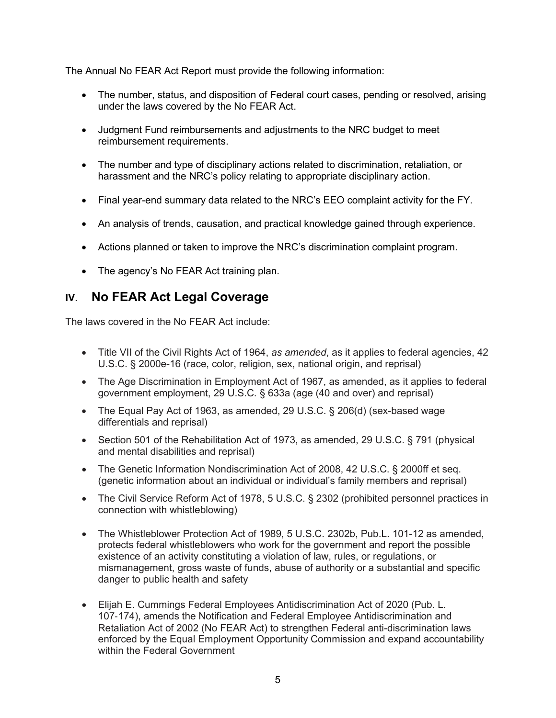The Annual No FEAR Act Report must provide the following information:

- The number, status, and disposition of Federal court cases, pending or resolved, arising under the laws covered by the No FEAR Act.
- Judgment Fund reimbursements and adjustments to the NRC budget to meet reimbursement requirements.
- The number and type of disciplinary actions related to discrimination, retaliation, or harassment and the NRC's policy relating to appropriate disciplinary action.
- Final year-end summary data related to the NRC's EEO complaint activity for the FY.
- An analysis of trends, causation, and practical knowledge gained through experience.
- Actions planned or taken to improve the NRC's discrimination complaint program.
- The agency's No FEAR Act training plan.

## **IV**. **No FEAR Act Legal Coverage**

The laws covered in the No FEAR Act include:

- Title VII of the Civil Rights Act of 1964, *as amended*, as it applies to federal agencies, 42 U.S.C. § 2000e-16 (race, color, religion, sex, national origin, and reprisal)
- The Age Discrimination in Employment Act of 1967, as amended, as it applies to federal government employment, 29 U.S.C. § 633a (age (40 and over) and reprisal)
- The Equal Pay Act of 1963, as amended, 29 U.S.C. § 206(d) (sex-based wage differentials and reprisal)
- Section 501 of the Rehabilitation Act of 1973, as amended, 29 U.S.C. § 791 (physical and mental disabilities and reprisal)
- The Genetic Information Nondiscrimination Act of 2008, 42 U.S.C. § 2000ff et seq. (genetic information about an individual or individual's family members and reprisal)
- The Civil Service Reform Act of 1978, 5 U.S.C. § 2302 (prohibited personnel practices in connection with whistleblowing)
- The Whistleblower Protection Act of 1989, 5 U.S.C. 2302b, Pub.L. 101-12 as amended, protects federal whistleblowers who work for the government and report the possible existence of an activity constituting a violation of law, rules, or regulations, or mismanagement, gross waste of funds, abuse of authority or a substantial and specific danger to public health and safety
- Elijah E. Cummings Federal Employees Antidiscrimination Act of 2020 (Pub. L. 107‑174), amends the Notification and Federal Employee Antidiscrimination and Retaliation Act of 2002 (No FEAR Act) to strengthen Federal anti-discrimination laws enforced by the Equal Employment Opportunity Commission and expand accountability within the Federal Government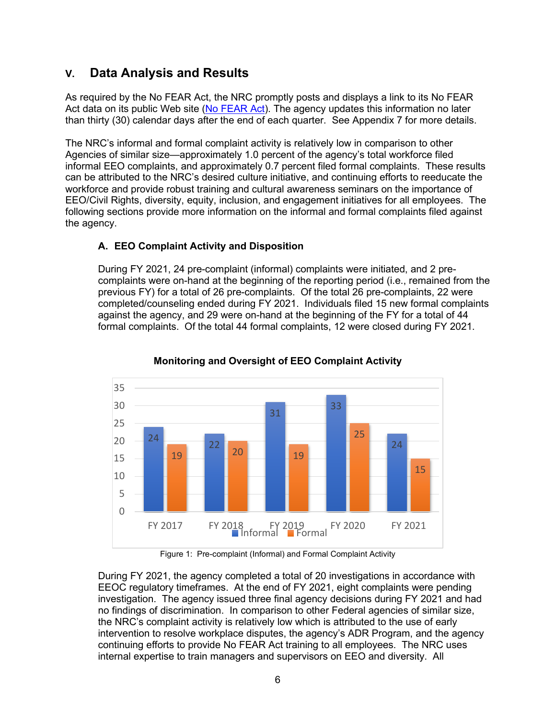## **V. Data Analysis and Results**

As required by the No FEAR Act, the NRC promptly posts and displays a link to its No FEAR Act data on its public Web site [\(No FEAR Act\)](https://www.nrc.gov/about-nrc/civil-rights/crp/dca.html). The agency updates this information no later than thirty (30) calendar days after the end of each quarter. See Appendix 7 for more details.

The NRC's informal and formal complaint activity is relatively low in comparison to other Agencies of similar size—approximately 1.0 percent of the agency's total workforce filed informal EEO complaints, and approximately 0.7 percent filed formal complaints. These results can be attributed to the NRC's desired culture initiative, and continuing efforts to reeducate the workforce and provide robust training and cultural awareness seminars on the importance of EEO/Civil Rights, diversity, equity, inclusion, and engagement initiatives for all employees. The following sections provide more information on the informal and formal complaints filed against the agency.

#### **A. EEO Complaint Activity and Disposition**

During FY 2021, 24 pre-complaint (informal) complaints were initiated, and 2 precomplaints were on-hand at the beginning of the reporting period (i.e., remained from the previous FY) for a total of 26 pre-complaints. Of the total 26 pre-complaints, 22 were completed/counseling ended during FY 2021. Individuals filed 15 new formal complaints against the agency, and 29 were on-hand at the beginning of the FY for a total of 44 formal complaints. Of the total 44 formal complaints, 12 were closed during FY 2021.



#### **Monitoring and Oversight of EEO Complaint Activity**

Figure 1: Pre-complaint (Informal) and Formal Complaint Activity

During FY 2021, the agency completed a total of 20 investigations in accordance with EEOC regulatory timeframes. At the end of FY 2021, eight complaints were pending investigation. The agency issued three final agency decisions during FY 2021 and had no findings of discrimination. In comparison to other Federal agencies of similar size, the NRC's complaint activity is relatively low which is attributed to the use of early intervention to resolve workplace disputes, the agency's ADR Program, and the agency continuing efforts to provide No FEAR Act training to all employees. The NRC uses internal expertise to train managers and supervisors on EEO and diversity. All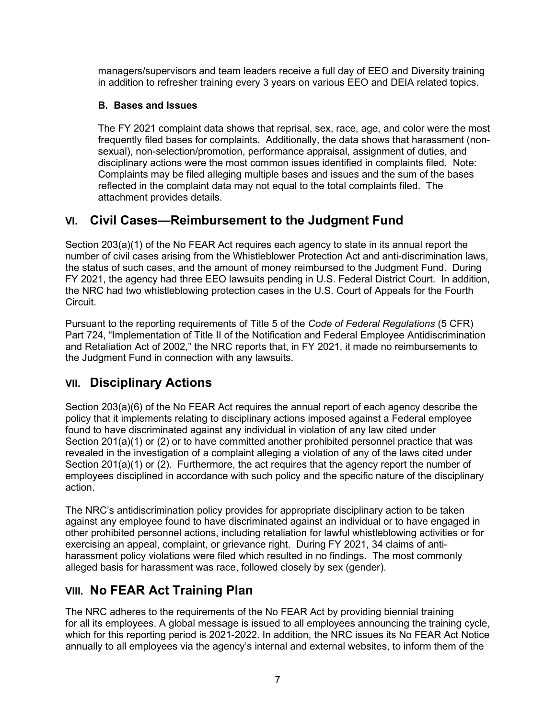managers/supervisors and team leaders receive a full day of EEO and Diversity training in addition to refresher training every 3 years on various EEO and DEIA related topics.

#### **B. Bases and Issues**

The FY 2021 complaint data shows that reprisal, sex, race, age, and color were the most frequently filed bases for complaints. Additionally, the data shows that harassment (nonsexual), non-selection/promotion, performance appraisal, assignment of duties, and disciplinary actions were the most common issues identified in complaints filed. Note: Complaints may be filed alleging multiple bases and issues and the sum of the bases reflected in the complaint data may not equal to the total complaints filed. The attachment provides details.

## **VI. Civil Cases—Reimbursement to the Judgment Fund**

Section 203(a)(1) of the No FEAR Act requires each agency to state in its annual report the number of civil cases arising from the Whistleblower Protection Act and anti-discrimination laws, the status of such cases, and the amount of money reimbursed to the Judgment Fund. During FY 2021, the agency had three EEO lawsuits pending in U.S. Federal District Court. In addition, the NRC had two whistleblowing protection cases in the U.S. Court of Appeals for the Fourth **Circuit** 

Pursuant to the reporting requirements of Title 5 of the *Code of Federal Regulations* (5 CFR) Part 724, "Implementation of Title II of the Notification and Federal Employee Antidiscrimination and Retaliation Act of 2002," the NRC reports that, in FY 2021, it made no reimbursements to the Judgment Fund in connection with any lawsuits.

# **VII. Disciplinary Actions**

Section 203(a)(6) of the No FEAR Act requires the annual report of each agency describe the policy that it implements relating to disciplinary actions imposed against a Federal employee found to have discriminated against any individual in violation of any law cited under Section 201(a)(1) or (2) or to have committed another prohibited personnel practice that was revealed in the investigation of a complaint alleging a violation of any of the laws cited under Section 201(a)(1) or (2). Furthermore, the act requires that the agency report the number of employees disciplined in accordance with such policy and the specific nature of the disciplinary action.

The NRC's antidiscrimination policy provides for appropriate disciplinary action to be taken against any employee found to have discriminated against an individual or to have engaged in other prohibited personnel actions, including retaliation for lawful whistleblowing activities or for exercising an appeal, complaint, or grievance right. During FY 2021, 34 claims of antiharassment policy violations were filed which resulted in no findings. The most commonly alleged basis for harassment was race, followed closely by sex (gender).

# **VIII. No FEAR Act Training Plan**

The NRC adheres to the requirements of the No FEAR Act by providing biennial training for all its employees. A global message is issued to all employees announcing the training cycle, which for this reporting period is 2021-2022. In addition, the NRC issues its No FEAR Act Notice annually to all employees via the agency's internal and external websites, to inform them of the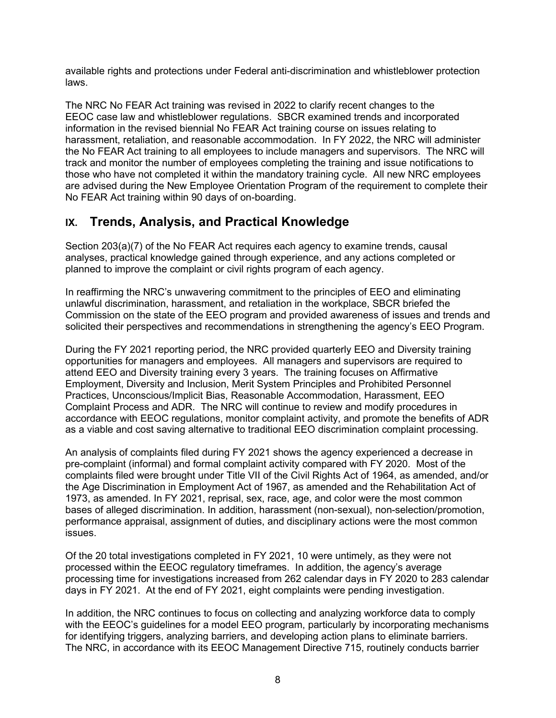available rights and protections under Federal anti-discrimination and whistleblower protection laws.

The NRC No FEAR Act training was revised in 2022 to clarify recent changes to the EEOC case law and whistleblower regulations. SBCR examined trends and incorporated information in the revised biennial No FEAR Act training course on issues relating to harassment, retaliation, and reasonable accommodation. In FY 2022, the NRC will administer the No FEAR Act training to all employees to include managers and supervisors. The NRC will track and monitor the number of employees completing the training and issue notifications to those who have not completed it within the mandatory training cycle. All new NRC employees are advised during the New Employee Orientation Program of the requirement to complete their No FEAR Act training within 90 days of on-boarding.

## **IX. Trends, Analysis, and Practical Knowledge**

Section 203(a)(7) of the No FEAR Act requires each agency to examine trends, causal analyses, practical knowledge gained through experience, and any actions completed or planned to improve the complaint or civil rights program of each agency.

In reaffirming the NRC's unwavering commitment to the principles of EEO and eliminating unlawful discrimination, harassment, and retaliation in the workplace, SBCR briefed the Commission on the state of the EEO program and provided awareness of issues and trends and solicited their perspectives and recommendations in strengthening the agency's EEO Program.

During the FY 2021 reporting period, the NRC provided quarterly EEO and Diversity training opportunities for managers and employees. All managers and supervisors are required to attend EEO and Diversity training every 3 years. The training focuses on Affirmative Employment, Diversity and Inclusion, Merit System Principles and Prohibited Personnel Practices, Unconscious/Implicit Bias, Reasonable Accommodation, Harassment, EEO Complaint Process and ADR. The NRC will continue to review and modify procedures in accordance with EEOC regulations, monitor complaint activity, and promote the benefits of ADR as a viable and cost saving alternative to traditional EEO discrimination complaint processing.

An analysis of complaints filed during FY 2021 shows the agency experienced a decrease in pre-complaint (informal) and formal complaint activity compared with FY 2020. Most of the complaints filed were brought under Title VII of the Civil Rights Act of 1964, as amended, and/or the Age Discrimination in Employment Act of 1967, as amended and the Rehabilitation Act of 1973, as amended. In FY 2021, reprisal, sex, race, age, and color were the most common bases of alleged discrimination. In addition, harassment (non-sexual), non-selection/promotion, performance appraisal, assignment of duties, and disciplinary actions were the most common issues.

Of the 20 total investigations completed in FY 2021, 10 were untimely, as they were not processed within the EEOC regulatory timeframes. In addition, the agency's average processing time for investigations increased from 262 calendar days in FY 2020 to 283 calendar days in FY 2021. At the end of FY 2021, eight complaints were pending investigation.

In addition, the NRC continues to focus on collecting and analyzing workforce data to comply with the EEOC's guidelines for a model EEO program, particularly by incorporating mechanisms for identifying triggers, analyzing barriers, and developing action plans to eliminate barriers. The NRC, in accordance with its EEOC Management Directive 715, routinely conducts barrier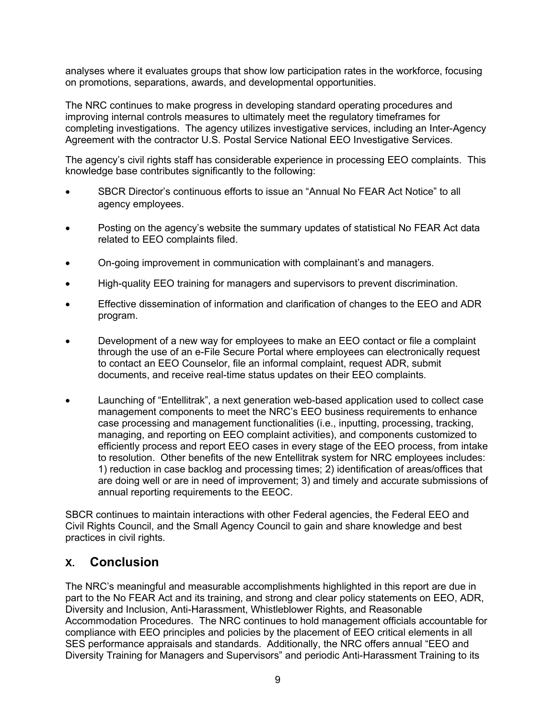analyses where it evaluates groups that show low participation rates in the workforce, focusing on promotions, separations, awards, and developmental opportunities.

The NRC continues to make progress in developing standard operating procedures and improving internal controls measures to ultimately meet the regulatory timeframes for completing investigations. The agency utilizes investigative services, including an Inter-Agency Agreement with the contractor U.S. Postal Service National EEO Investigative Services.

The agency's civil rights staff has considerable experience in processing EEO complaints. This knowledge base contributes significantly to the following:

- SBCR Director's continuous efforts to issue an "Annual No FEAR Act Notice" to all agency employees.
- Posting on the agency's website the summary updates of statistical No FEAR Act data related to EEO complaints filed.
- On-going improvement in communication with complainant's and managers.
- High-quality EEO training for managers and supervisors to prevent discrimination.
- Effective dissemination of information and clarification of changes to the EEO and ADR program.
- Development of a new way for employees to make an EEO contact or file a complaint through the use of an e-File Secure Portal where employees can electronically request to contact an EEO Counselor, file an informal complaint, request ADR, submit documents, and receive real-time status updates on their EEO complaints.
- Launching of "Entellitrak", a next generation web-based application used to collect case management components to meet the NRC's EEO business requirements to enhance case processing and management functionalities (i.e., inputting, processing, tracking, managing, and reporting on EEO complaint activities), and components customized to efficiently process and report EEO cases in every stage of the EEO process, from intake to resolution. Other benefits of the new Entellitrak system for NRC employees includes: 1) reduction in case backlog and processing times; 2) identification of areas/offices that are doing well or are in need of improvement; 3) and timely and accurate submissions of annual reporting requirements to the EEOC.

SBCR continues to maintain interactions with other Federal agencies, the Federal EEO and Civil Rights Council, and the Small Agency Council to gain and share knowledge and best practices in civil rights.

### **X. Conclusion**

The NRC's meaningful and measurable accomplishments highlighted in this report are due in part to the No FEAR Act and its training, and strong and clear policy statements on EEO, ADR, Diversity and Inclusion, Anti-Harassment, Whistleblower Rights, and Reasonable Accommodation Procedures. The NRC continues to hold management officials accountable for compliance with EEO principles and policies by the placement of EEO critical elements in all SES performance appraisals and standards. Additionally, the NRC offers annual "EEO and Diversity Training for Managers and Supervisors" and periodic Anti-Harassment Training to its